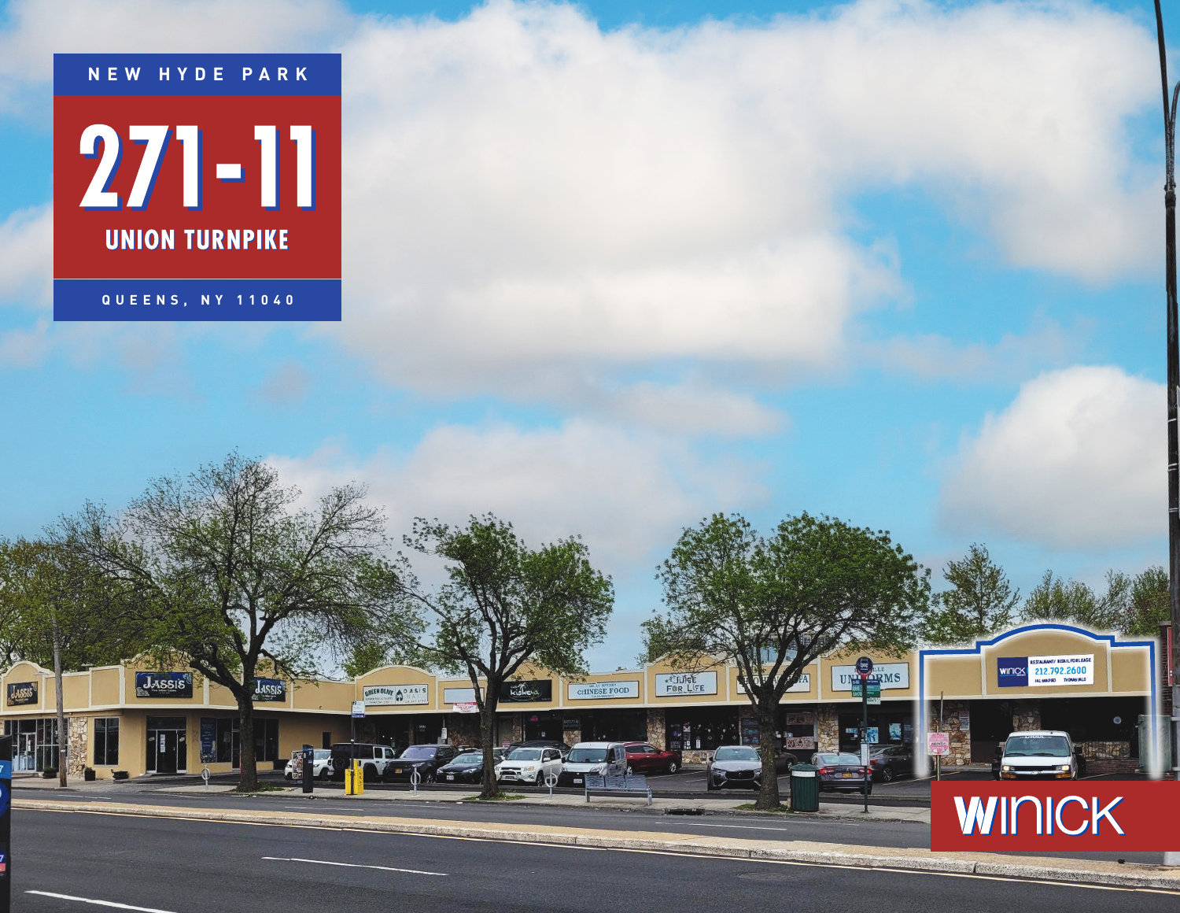



**QUEENS, NY 11040**

JASSIS

GREEN BLAVE COASIS

## WINICK

FOR LIFE

CHINESE FOOD

**ESTALANT/ EDUCTORLESS**